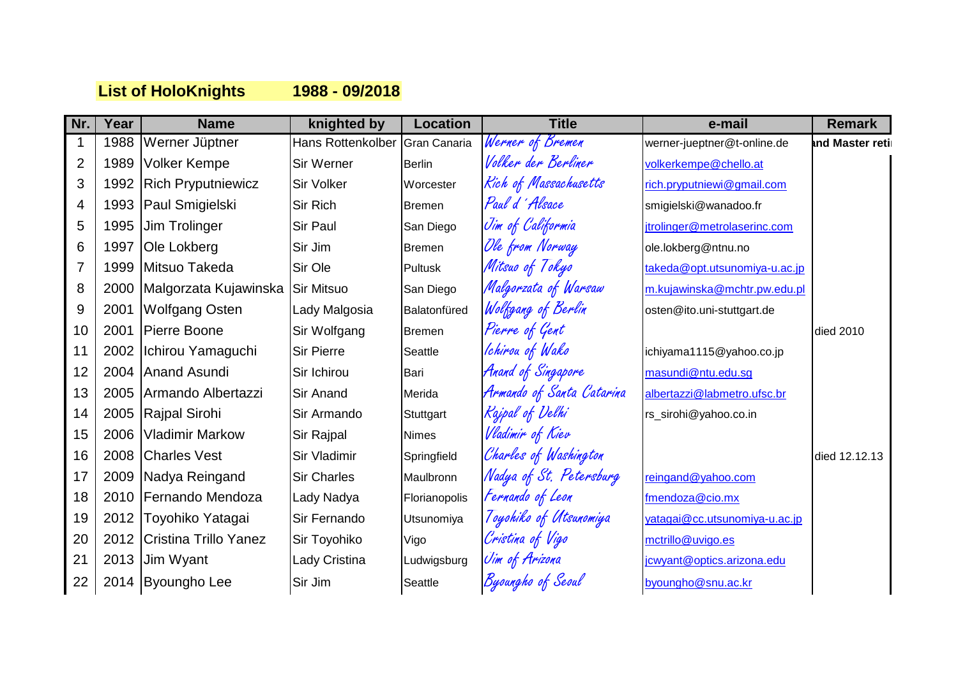## **List of HoloKnights 1988 - 09/2018**

| Nr.            | Year | <b>Name</b>                      | knighted by                    | <b>Location</b> | <b>Title</b>              | e-mail                        | <b>Remark</b>   |
|----------------|------|----------------------------------|--------------------------------|-----------------|---------------------------|-------------------------------|-----------------|
|                | 1988 | Werner Jüptner                   | Hans Rottenkolber Gran Canaria |                 | Werner of Bremen          | werner-jueptner@t-online.de   | and Master reti |
| 2              | 1989 | <b>Volker Kempe</b>              | Sir Werner                     | Berlin          | Volker der Berliner       | volkerkempe@chello.at         |                 |
| 3              | 1992 | <b>Rich Pryputniewicz</b>        | <b>Sir Volker</b>              | Worcester       | Rich of Massachusetts     | rich.pryputniewi@gmail.com    |                 |
| 4              | 1993 | Paul Smigielski                  | <b>Sir Rich</b>                | <b>Bremen</b>   | Paul d'Alsace             | smigielski@wanadoo.fr         |                 |
| 5              | 1995 | Jim Trolinger                    | <b>Sir Paul</b>                | San Diego       | Jim of Califormia         | jtrolinger@metrolaserinc.com  |                 |
| 6              | 1997 | <b>Ole Lokberg</b>               | Sir Jim                        | <b>Bremen</b>   | Ole from Norway           | ole.lokberg@ntnu.no           |                 |
| $\overline{7}$ | 1999 | Mitsuo Takeda                    | Sir Ole                        | Pultusk         | Mitsuo of Tokyo           | takeda@opt.utsunomiya-u.ac.jp |                 |
| 8              | 2000 | Malgorzata Kujawinska Sir Mitsuo |                                | San Diego       | Malgorzata of Warsaw      | m.kujawinska@mchtr.pw.edu.pl  |                 |
| 9              | 2001 | <b>Wolfgang Osten</b>            | Lady Malgosia                  | Balatonfüred    | Wolfgang of Berlin        | osten@ito.uni-stuttgart.de    |                 |
| 10             | 2001 | Pierre Boone                     | Sir Wolfgang                   | <b>Bremen</b>   | Pierre of Gent            |                               | died 2010       |
| 11             | 2002 | Ichirou Yamaguchi                | <b>Sir Pierre</b>              | Seattle         | Ichirou of Wako           | ichiyama1115@yahoo.co.jp      |                 |
| 12             | 2004 | Anand Asundi                     | Sir Ichirou                    | Bari            | Anand of Singapore        | masundi@ntu.edu.sg            |                 |
| 13             | 2005 | Armando Albertazzi               | <b>Sir Anand</b>               | Merida          | Armando of Santa Catarina | albertazzi@labmetro.ufsc.br   |                 |
| 14             | 2005 | Rajpal Sirohi                    | Sir Armando                    | Stuttgart       | Rajpal of Delhi           | rs_sirohi@yahoo.co.in         |                 |
| 15             | 2006 | <b>Vladimir Markow</b>           | Sir Rajpal                     | <b>Nimes</b>    | Vladimir of Kiev          |                               |                 |
| 16             | 2008 | <b>Charles Vest</b>              | Sir Vladimir                   | Springfield     | Charles of Washington     |                               | died 12.12.13   |
| 17             | 2009 | Nadya Reingand                   | <b>Sir Charles</b>             | Maulbronn       | Nadya of St. Petersburg   | reingand@yahoo.com            |                 |
| 18             | 2010 | Fernando Mendoza                 | Lady Nadya                     | Florianopolis   | Fernando of Leon          | fmendoza@cio.mx               |                 |
| 19             |      | 2012 Toyohiko Yatagai            | Sir Fernando                   | Utsunomiya      | Toyohiko of Utsunomiya    | yatagai@cc.utsunomiya-u.ac.jp |                 |
| 20             |      | 2012 Cristina Trillo Yanez       | Sir Toyohiko                   | Vigo            | Cristina of Vigo          | mctrillo@uvigo.es             |                 |
| 21             | 2013 | <b>Jim Wyant</b>                 | Lady Cristina                  | Ludwigsburg     | Jim of Arizona            | jcwyant@optics.arizona.edu    |                 |
| 22             |      | 2014 Byoungho Lee                | Sir Jim                        | Seattle         | Byoungho of Seoul         | byoungho@snu.ac.kr            |                 |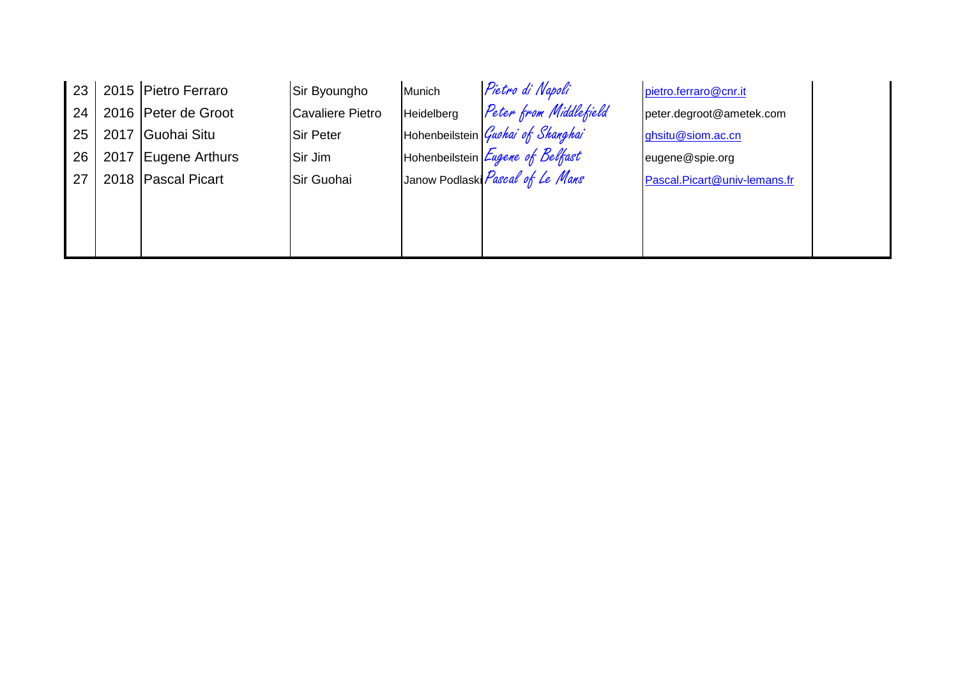| 23 |      | 2015 Pietro Ferraro | Sir Byoungho     | Munich     | Pietro di Napoli                  | pietro.ferraro@cnr.it        |
|----|------|---------------------|------------------|------------|-----------------------------------|------------------------------|
| 24 |      | 2016 Peter de Groot | Cavaliere Pietro | Heidelberg | Peter from Middlefield            | peter.degroot@ametek.com     |
| 25 |      | 2017 Guohai Situ    | Sir Peter        |            | Hohenbeilstein Guokai of Shanghai | ghsitu@siom.ac.cn            |
| 26 | 2017 | Fugene Arthurs      | Sir Jim          |            | Hohenbeilstein Eugene of Belfast  | eugene@spie.org              |
| 27 |      | 2018 Pascal Picart  | Sir Guohai       |            | Janow Podlaski Pascal of Le Mans  | Pascal.Picart@univ-lemans.fr |
|    |      |                     |                  |            |                                   |                              |
|    |      |                     |                  |            |                                   |                              |
|    |      |                     |                  |            |                                   |                              |